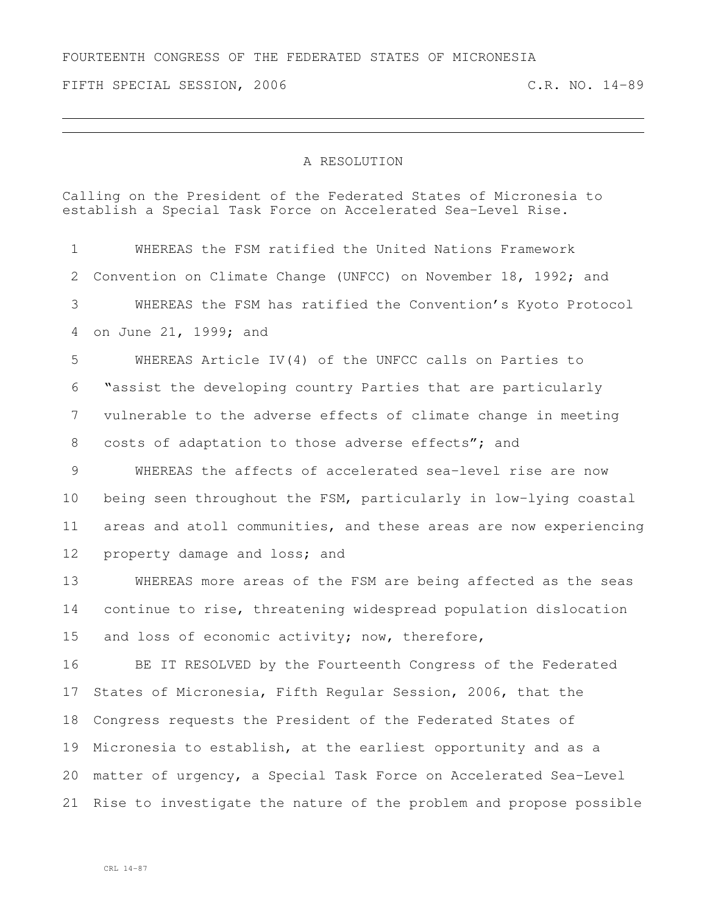FOURTEENTH CONGRESS OF THE FEDERATED STATES OF MICRONESIA

FIFTH SPECIAL SESSION, 2006 C.R. NO. 14-89

## A RESOLUTION

Calling on the President of the Federated States of Micronesia to establish a Special Task Force on Accelerated Sea-Level Rise.

 WHEREAS the FSM ratified the United Nations Framework Convention on Climate Change (UNFCC) on November 18, 1992; and WHEREAS the FSM has ratified the Convention's Kyoto Protocol on June 21, 1999; and WHEREAS Article IV(4) of the UNFCC calls on Parties to

 "assist the developing country Parties that are particularly vulnerable to the adverse effects of climate change in meeting 8 costs of adaptation to those adverse effects"; and

 WHEREAS the affects of accelerated sea-level rise are now being seen throughout the FSM, particularly in low-lying coastal areas and atoll communities, and these areas are now experiencing property damage and loss; and

 WHEREAS more areas of the FSM are being affected as the seas continue to rise, threatening widespread population dislocation and loss of economic activity; now, therefore,

 BE IT RESOLVED by the Fourteenth Congress of the Federated States of Micronesia, Fifth Regular Session, 2006, that the Congress requests the President of the Federated States of Micronesia to establish, at the earliest opportunity and as a matter of urgency, a Special Task Force on Accelerated Sea-Level Rise to investigate the nature of the problem and propose possible